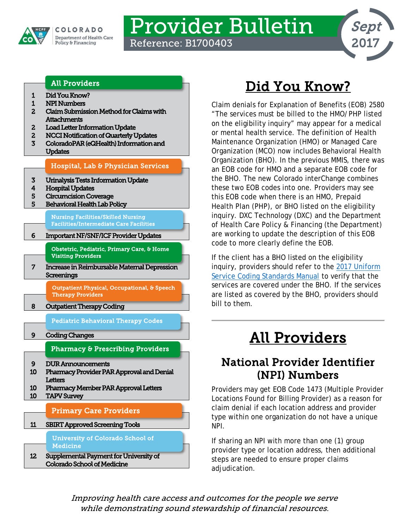

# Provider Bulletin

Reference: B1700403



#### [All Providers](#page-0-2)

- <span id="page-0-0"></span>[1 Did You Know?](#page-0-0)
- [1 NPI Numbers](#page-0-1)
- [2 Claim Submission Method for Claims with](#page-1-0)  **Attachments**
- [2 Load Letter Information Update](#page-1-1)
- [2 NCCI Notification of Quarterly Updates](#page-1-2)
- [3 ColoradoPAR \(eQHealth\) Information and](#page-2-0)  [Updates](#page-2-0)

#### [Hospital, Lab & Physician Services](#page-2-2)

- [3 Urinalysis Tests Information Update](#page-2-1)
- [4 Hospital Updates](#page-3-0)
- [5 Circumcision Coverage](#page-4-0)
- [5 Behavioral Health Lab Policy](#page-4-1)

[Nursing Facilities/Skilled Nursing](#page-5-1)  [Facilities/Intermediate Care Facilities](#page-5-1) 

[6 Important NF/SNF/ICF Provider Updates](#page-5-0) 

[Obstetric, Pediatric, Primary Care, & Home](#page-6-1)  [Visiting Providers](#page-6-1) 

[7 Increase in Reimbursable Maternal Depression](#page-6-0)  **Screenings** 

> [Outpatient Physical, Occupational, & Speech](#page-7-1)  [Therapy Providers](#page-7-1)

[8 Outpatient Therapy Coding](#page-7-0) 

[Pediatric Behavioral Therapy Codes](#page-8-2) 

[9 Coding Changes](#page-8-0) 

[Pharmacy & Prescribing Providers](#page-8-2) 

- [9 DUR Announcements](#page-8-1)
- [10 Pharmacy Provider PAR Approval and Denial](#page-9-0)  **Letters**
- [10 Pharmacy Member PAR Approval Letters](#page-9-1)  [10 TAPV Survey](#page-9-2)

#### [Primary Care Providers](#page-10-1)

[11 SBIRT Approved Screening Tools](#page-10-0)  [University of Colorado School of](#page-11-1) 

[12 Supplemental Payment for University of](#page-11-0)  [Colorado School of Medicine](#page-11-0)  **Medicine** 

## Did You Know?

Claim denials for Explanation of Benefits (EOB) 2580 "The services must be billed to the HMO/PHP listed on the eligibility inquiry" may appear for a medical or mental health service. The definition of Health Maintenance Organization (HMO) or Managed Care Organization (MCO) now includes Behavioral Health Organization (BHO). In the previous MMIS, there was an EOB code for HMO and a separate EOB code for the BHO. The new Colorado interChange combines these two EOB codes into one. Providers may see this EOB code when there is an HMO, Prepaid Health Plan (PHP), or BHO listed on the eligibility inquiry. DXC Technology (DXC) and the Department of Health Care Policy & Financing (the Department) are working to update the description of this EOB code to more clearly define the EOB.

If the client has a BHO listed on the eligibility inquiry, providers should refer to the [2017 Uniform](https://www.colorado.gov/pacific/sites/default/files/Uniform%20Service%20Coding%20Standards%20January%202017.pdf)  [Service Coding Standards Manual](https://www.colorado.gov/pacific/sites/default/files/Uniform%20Service%20Coding%20Standards%20January%202017.pdf) to verify that the services are covered under the BHO. If the services are listed as covered by the BHO, providers should bill to them.

## All Providers

## <span id="page-0-2"></span><span id="page-0-1"></span>National Provider Identifier (NPI) Numbers

Providers may get EOB Code 1473 (Multiple Provider Locations Found for Billing Provider) as a reason for claim denial if each location address and provider type within one organization do not have a unique NPI.

If sharing an NPI with more than one (1) group provider type or location address, then additional steps are needed to ensure proper claims adjudication.

Improving health care access and outcomes for the people we serve while demonstrating sound stewardship of financial resources.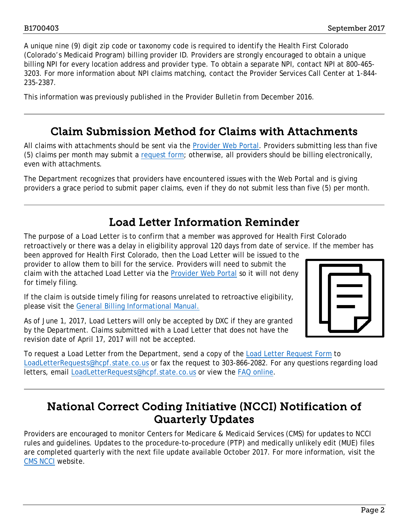A unique nine (9) digit zip code or taxonomy code is required to identify the Health First Colorado (Colorado's Medicaid Program) billing provider ID. Providers are strongly encouraged to obtain a unique billing NPI for every location address and provider type. To obtain a separate NPI, contact NPI at 800-465- 3203. For more information about NPI claims matching, contact the Provider Services Call Center at 1-844- 235-2387.

This information was previously published in the Provider Bulletin from December 2016.

### Claim Submission Method for Claims with Attachments

<span id="page-1-0"></span>All claims with attachments should be sent via the [Provider Web Portal.](https://colorado-hcp-portal.xco.dcs-usps.com/hcp/provider) Providers submitting less than five (5) claims per month may submit a [request form;](http://www.colorado.gov/pacific/sites/default/files/Request%20for%20Reconsideration_bl_1.pdf) otherwise, all providers should be billing electronically, even with attachments.

The Department recognizes that providers have encountered issues with the Web Portal and is giving providers a grace period to submit paper claims, even if they do not submit less than five (5) per month.

## Load Letter Information Reminder

<span id="page-1-1"></span>The purpose of a Load Letter is to confirm that a member was approved for Health First Colorado retroactively or there was a delay in eligibility approval 120 days from date of service. If the member has

been approved for Health First Colorado, then the Load Letter will be issued to the provider to allow them to bill for the service. Providers will need to submit the claim with the attached Load Letter via the [Provider Web Portal](https://colorado-hcp-portal.xco.dcs-usps.com/hcp/provider/Home/tabid/135/Default.aspx) so it will not deny for timely filing.

If the claim is outside timely filing for reasons unrelated to retroactive eligibility, please visit the [General Billing Informational Manual.](http://www.colorado.gov/pacific/sites/default/files/CMS1500_General_Provider_Information%20v2_0_3.pdf)

As of June 1, 2017, Load Letters will only be accepted by DXC if they are granted by the Department. Claims submitted with a Load Letter that does not have the revision date of April 17, 2017 will not be accepted.



To request a Load Letter from the Department, send a copy of the [Load Letter Request Form](https://www.colorado.gov/pacific/sites/default/files/Load%20Letter%20Request%20Form%20Changes%20042517%20RC.pdf) to [LoadLetterRequests@hcpf.state.co.us](mailto:LoadLetterRequests@hcpf.state.co.us) or fax the request to 303-866-2082. For any questions regarding load letters, email [LoadLetterRequests@hcpf.state.co.us](mailto:LoadLetterRequests@hcpf.state.co.us) or view the [FAQ online.](https://www.colorado.gov/hcpf/billing-faqs#27.%20What%20are%20Load%20Letters%20and%20Late%20Bill%20Override%20Dates?)

### <span id="page-1-2"></span>National Correct Coding Initiative (NCCI) Notification of Quarterly Updates

Providers are encouraged to monitor Centers for Medicare & Medicaid Services (CMS) for updates to NCCI rules and guidelines. Updates to the procedure-to-procedure (PTP) and medically unlikely edit (MUE) files are completed quarterly with the next file update available October 2017. For more information, visit the [CMS NCCI](http://www.medicaid.gov/Medicaid-CHIP-Program-Information/By-Topics/Data-and-Systems/National-Correct-Coding-Initiative.html) website.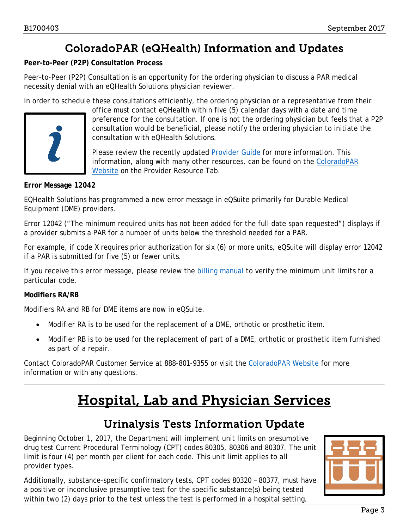## ColoradoPAR (eQHealth) Information and Updates

<span id="page-2-0"></span>**Peer-to-Peer (P2P) Consultation Process**

Peer-to-Peer (P2P) Consultation is an opportunity for the ordering physician to discuss a PAR medical necessity denial with an eQHealth Solutions physician reviewer.

In order to schedule these consultations efficiently, the ordering physician or a representative from their



office must contact eQHealth within five (5) calendar days with a date and time preference for the consultation. If one is not the ordering physician but feels that a P2P consultation would be beneficial, please notify the ordering physician to initiate the consultation with eQHealth Solutions.

Please review the recently updated [Provider Guide](http://coloradopar.com/Portals/2/august%2017/P2P%20Provider%20Guide%20August%202017%20FINAL.pdf) for more information. This information, along with many other resources, can be found on the ColoradoPAR [Website](http://coloradopar.com/) on the Provider Resource Tab.

#### **Error Message 12042**

EQHealth Solutions has programmed a new error message in eQSuite primarily for Durable Medical Equipment (DME) providers.

Error 12042 ("The minimum required units has not been added for the full date span requested") displays if a provider submits a PAR for a number of units below the threshold needed for a PAR.

For example, if code X requires prior authorization for six (6) or more units, eQSuite will display error 12042 if a PAR is submitted for five (5) or fewer units.

If you receive this error message, please review the [billing manual](https://www.colorado.gov/pacific/sites/default/files/DMEPOS%20Billing%20Manual%20v1_1.pdf) to verify the minimum unit limits for a particular code.

#### **Modifiers RA/RB**

Modifiers RA and RB for DME items are now in eQSuite.

- Modifier RA is to be used for the replacement of a DME, orthotic or prosthetic item.
- Modifier RB is to be used for the replacement of part of a DME, orthotic or prosthetic item furnished as part of a repair.

<span id="page-2-2"></span>Contact ColoradoPAR Customer Service at 888-801-9355 or visit the [ColoradoPAR Website](http://coloradopar.com/) for more information or with any questions.

## Hospital, Lab and Physician Services

### Urinalysis Tests Information Update

<span id="page-2-1"></span>Beginning October 1, 2017, the Department will implement unit limits on presumptive drug test Current Procedural Terminology (CPT) codes 80305, 80306 and 80307. The unit limit is four (4) per month per client for each code. This unit limit applies to all provider types.

Additionally, substance-specific confirmatory tests, CPT codes 80320 – 80377, must have a positive or inconclusive presumptive test for the specific substance(s) being tested within two (2) days prior to the test unless the test is performed in a hospital setting.

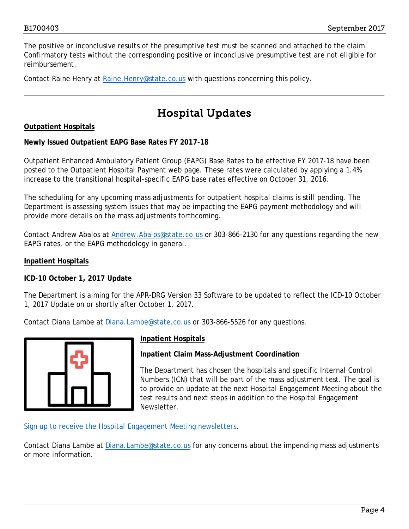The positive or inconclusive results of the presumptive test must be scanned and attached to the claim. Confirmatory tests without the corresponding positive or inconclusive presumptive test are not eligible for reimbursement.

Contact Raine Henry at Raine. Henry@state.co.us with questions concerning this policy.

## Hospital Updates

#### <span id="page-3-0"></span>**Outpatient Hospitals**

#### **Newly Issued Outpatient EAPG Base Rates FY 2017-18**

Outpatient Enhanced Ambulatory Patient Group (EAPG) Base Rates to be effective FY 2017-18 have been posted to the [Outpatient Hospital Payment](https://www.colorado.gov/pacific/hcpf/outpatient-hospital-payment) web page. These rates were calculated by applying a 1.4% increase to the transitional hospital-specific EAPG base rates effective on October 31, 2016.

The scheduling for any upcoming mass adjustments for outpatient hospital claims is still pending. The Department is assessing system issues that may be impacting the EAPG payment methodology and will provide more details on the mass adjustments forthcoming.

Contact Andrew Abalos at **Andrew.Abalos@state.co.us** or 303-866-2130 for any questions regarding the new EAPG rates, or the EAPG methodology in general.

#### **Inpatient Hospitals**

**ICD-10 October 1, 2017 Update**

The Department is aiming for the APR-DRG Version 33 Software to be updated to reflect the ICD-10 October 1, 2017 Update on or shortly after October 1, 2017.

Contact Diana Lambe at [Diana.Lambe@state.co.us](mailto:Diana.Lambe@state.co.us) or 303-866-5526 for any questions.



#### **Inpatient Hospitals**

**Inpatient Claim Mass-Adjustment Coordination**

The Department has chosen the hospitals and specific Internal Control Numbers (ICN) that will be part of the mass adjustment test. The goal is to provide an update at the next Hospital Engagement Meeting about the test results and next steps in addition to the Hospital Engagement Newsletter.

[Sign up to receive the Hospital Engagement Meeting newsletters.](https://visitor.r20.constantcontact.com/manage/optin?v=001HfxrbpGNWZ0lZnPp6t3PG2s9XPNl8ZvgFdjsKvSnhIy8z9JmHyp6DeoLJ3saT6x0SeqRR1ub149uoXxe1ok4jTzfMSQ0BN7S5vcLiRO7gdY%3D)

Contact Diana Lambe at [Diana.Lambe@state.co.us](mailto:Diana.Lambe@state.co.us) for any concerns about the impending mass adjustments or more information.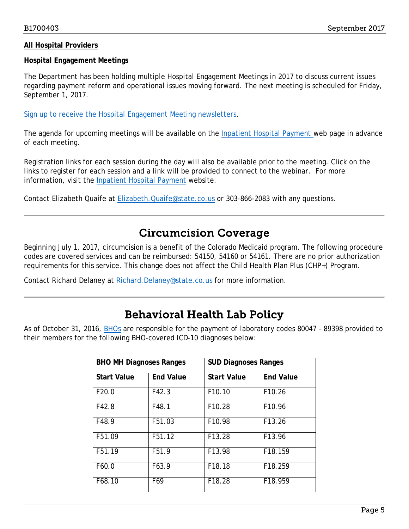#### **All Hospital Providers**

#### **Hospital Engagement Meetings**

The Department has been holding multiple Hospital Engagement Meetings in 2017 to discuss current issues regarding payment reform and operational issues moving forward. The next meeting is scheduled for Friday, September 1, 2017.

[Sign up to receive the Hospital Engagement Meeting newsletters.](https://visitor.r20.constantcontact.com/manage/optin?v=001HfxrbpGNWZ0lZnPp6t3PG2s9XPNl8ZvgFdjsKvSnhIy8z9JmHyp6DeoLJ3saT6x0SeqRR1ub149uoXxe1ok4jTzfMSQ0BN7S5vcLiRO7gdY%3D)

The agenda for upcoming meetings will be available on the [Inpatient Hospital Payment](https://www.colorado.gov/hcpf/inpatient-hospital-payment) web page in advance of each meeting.

Registration links for each session during the day will also be available prior to the meeting. Click on the links to register for each session and a link will be provided to connect to the webinar. For more information, visit the [Inpatient Hospital Payment](https://www.colorado.gov/hcpf/inpatient-hospital-payment) website.

Contact Elizabeth Quaife at [Elizabeth.Quaife@state.co.us](mailto:Elizabeth.Quaife@state.co.us) or 303-866-2083 with any questions.

### Circumcision Coverage

<span id="page-4-0"></span>Beginning July 1, 2017, circumcision is a benefit of the Colorado Medicaid program. The following procedure codes are covered services and can be reimbursed: 54150, 54160 or 54161. There are no prior authorization requirements for this service. This change does not affect the Child Health Plan Plus (CHP+) Program.

Contact Richard Delaney at [Richard.Delaney@state.co.us](mailto:Richard.Delaney@state.co.us) for more information.

### Behavioral Health Lab Policy

<span id="page-4-1"></span>As of October 31, 2016, **[BHOs](https://www.colorado.gov/pacific/hcpf/behavioral-health-organizations) are responsible for the payment of laboratory codes 80047 - 89398 provided to** their members for the following BHO-covered ICD-10 diagnoses below:

| <b>BHO MH Diagnoses Ranges</b> |                   | <b>SUD Diagnoses Ranges</b> |                    |
|--------------------------------|-------------------|-----------------------------|--------------------|
| <b>Start Value</b>             | <b>End Value</b>  | <b>Start Value</b>          | <b>End Value</b>   |
| F20.0                          | F42.3             | F10.10                      | F10.26             |
| F42.8                          | F48.1             | F10.28                      | F10.96             |
| F48.9                          | F51.03            | F10.98                      | F <sub>13.26</sub> |
| F51.09                         | F51.12            | F13.28                      | F <sub>13.96</sub> |
| F51.19                         | F <sub>51.9</sub> | F13.98                      | F18.159            |
| F60.0                          | F63.9             | F18.18                      | F18.259            |
| F68.10                         | F69               | F18.28                      | F18.959            |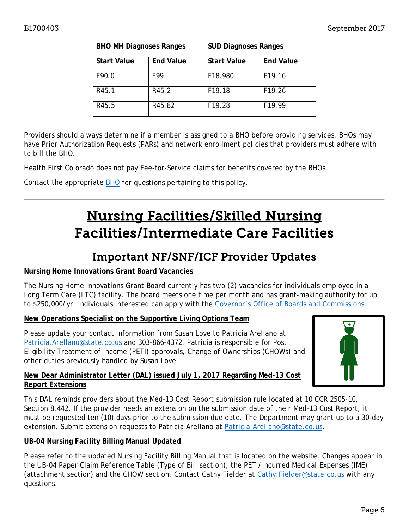| <b>BHO MH Diagnoses Ranges</b> |                  | <b>SUD Diagnoses Ranges</b> |                    |
|--------------------------------|------------------|-----------------------------|--------------------|
| <b>Start Value</b>             | <b>End Value</b> | <b>Start Value</b>          | <b>End Value</b>   |
| F90.0                          | F99              | F18.980                     | F19.16             |
| R45.1                          | R45.2            | F19.18                      | F19.26             |
| R45.5                          | R45.82           | F19.28                      | F <sub>19.99</sub> |

Providers should always determine if a member is assigned to a BHO before providing services. BHOs may have Prior Authorization Requests (PARs) and network enrollment policies that providers must adhere with to bill the BHO.

Health First Colorado does not pay Fee-for-Service claims for benefits covered by the BHOs.

<span id="page-5-1"></span>Contact the appropriate **BHO** for questions pertaining to this policy.

## Nursing Facilities/Skilled Nursing Facilities/Intermediate Care Facilities

### Important NF/SNF/ICF Provider Updates

#### <span id="page-5-0"></span>**Nursing Home Innovations Grant Board Vacancies**

The Nursing Home Innovations Grant Board currently has two (2) vacancies for individuals employed in a Long Term Care (LTC) facility. The board meets one time per month and has grant-making authority for up to \$250,000/yr. Individuals interested can apply with the [Governor's Office of Boards and Commissions.](https://www.colorado.gov/governor/boards-commissions)

#### **New Operations Specialist on the Supportive Living Options Team**

Please update your contact information from Susan Love to Patricia Arellano at [Patricia.Arellano@state.co.us](mailto:Patricia.Arellano@state.co.us) and 303-866-4372. Patricia is responsible for Post Eligibility Treatment of Income (PETI) approvals, Change of Ownerships (CHOWs) and other duties previously handled by Susan Love.



#### **New Dear Administrator Letter (DAL) issued July 1, 2017 Regarding Med-13 Cost Report Extensions**

This DAL reminds providers about the Med-13 Cost Report submission rule located at 10 CCR 2505-10, Section 8.442. If the provider needs an extension on the submission date of their Med-13 Cost Report, it must be requested ten (10) days prior to the submission due date. The Department may grant up to a 30-day extension. Submit extension requests to Patricia Arellano at [Patricia.Arellano@state.co.us.](mailto:Patricia.Arellano@state.co.us)

#### **UB-04 Nursing Facility Billing Manual Updated**

Please refer to the updated Nursing Facility Billing Manual that is located on the website. Changes appear in the UB-04 Paper Claim Reference Table (Type of Bill section), the PETI/Incurred Medical Expenses (IME) (attachment section) and the CHOW section. Contact Cathy Fielder at [Cathy.Fielder@state.co.us](mailto:Cathy.Fielder@state.co.us) with any questions.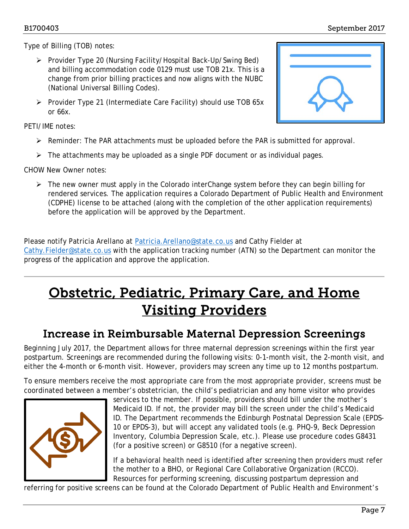Type of Billing (TOB) notes:

- Provider Type 20 (Nursing Facility/Hospital Back-Up/Swing Bed) and billing accommodation code 0129 must use TOB 21x. This is a change from prior billing practices and now aligns with the NUBC (National Universal Billing Codes).
- $\triangleright$  Provider Type 21 (Intermediate Care Facility) should use TOB 65x or 66x.

PETI/IME notes:

- $\triangleright$  Reminder: The PAR attachments must be uploaded before the PAR is submitted for approval.
- $\triangleright$  The attachments may be uploaded as a single PDF document or as individual pages.

CHOW New Owner notes:

 $\triangleright$  The new owner must apply in the Colorado interChange system before they can begin billing for rendered services. The application requires a Colorado Department of Public Health and Environment (CDPHE) license to be attached (along with the completion of the other application requirements) before the application will be approved by the Department.

Please notify Patricia Arellano at [Patricia.Arellano@state.co.us](mailto:Patricia.Arellano@state.co.us) and Cathy Fielder at [Cathy.Fielder@state.co.us](mailto:Cathy.Fielder@state.co.us) with the application tracking number (ATN) so the Department can monitor the progress of the application and approve the application.

## <span id="page-6-1"></span>Obstetric, Pediatric, Primary Care, and Home Visiting Providers

### Increase in Reimbursable Maternal Depression Screenings

<span id="page-6-0"></span>Beginning July 2017, the Department allows for three maternal depression screenings within the first year postpartum. Screenings are recommended during the following visits: 0-1-month visit, the 2-month visit, and either the 4-month or 6-month visit. However, providers may screen any time up to 12 months postpartum.

To ensure members receive the most appropriate care from the most appropriate provider, screens must be coordinated between a member's obstetrician, the child's pediatrician and any home visitor who provides



services to the member. If possible, providers should bill under the mother's Medicaid ID. If not, the provider may bill the screen under the child's Medicaid ID. The Department recommends the Edinburgh Postnatal Depression Scale (EPDS-10 or EPDS-3), but will accept any validated tools (e.g. PHQ-9, Beck Depression Inventory, Columbia Depression Scale, etc.). Please use procedure codes G8431 (for a positive screen) or G8510 (for a negative screen).

If a behavioral health need is identified after screening then providers must refer the mother to a BHO, or Regional Care Collaborative Organization (RCCO). Resources for performing screening, discussing postpartum depression and

referring for positive screens can be found at the Colorado Department of Public Health and Environment's

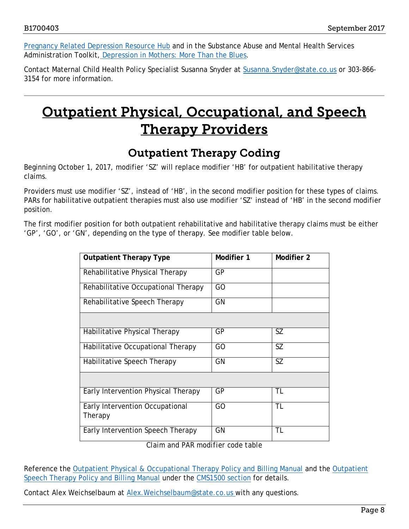[Pregnancy Related Depression Resource Hub](https://www.prdresourcehub.com/) and in the Substance Abuse and Mental Health Services Administration Toolkit, [Depression in Mothers: More Than the Blues.](https://store.samhsa.gov/shin/content/SMA14-4878/SMA14-4878.pdf)

Contact Maternal Child Health Policy Specialist Susanna Snyder at Susanna. Snyder@state.co.us or 303-866-3154 for more information.

## <span id="page-7-1"></span>Outpatient Physical, Occupational, and Speech Therapy Providers

## Outpatient Therapy Coding

<span id="page-7-0"></span>Beginning October 1, 2017, modifier 'SZ' will replace modifier 'HB' for outpatient habilitative therapy claims.

Providers must use modifier 'SZ', instead of 'HB', in the second modifier position for these types of claims. PARs for habilitative outpatient therapies must also use modifier 'SZ' instead of 'HB' in the second modifier position.

The first modifier position for both outpatient rehabilitative and habilitative therapy claims must be either 'GP', 'GO', or 'GN', depending on the type of therapy. See modifier table below.

| <b>Outpatient Therapy Type</b>             | Modifier 1 | Modifier 2 |
|--------------------------------------------|------------|------------|
| Rehabilitative Physical Therapy            | GP         |            |
| Rehabilitative Occupational Therapy        | GO         |            |
| Rehabilitative Speech Therapy              | GN         |            |
|                                            |            |            |
| Habilitative Physical Therapy              | GP         | SZ         |
| Habilitative Occupational Therapy          | GO         | SZ         |
| Habilitative Speech Therapy                | GN         | <b>SZ</b>  |
|                                            |            |            |
| Early Intervention Physical Therapy        | GP         | TL         |
| Early Intervention Occupational<br>Therapy | GO         | TL         |
| Early Intervention Speech Therapy          | GN         | TL         |

*Claim and PAR modifier code table*

Reference the [Outpatient Physical & Occupational Therapy Policy and Billing Manual](https://www.colorado.gov/pacific/sites/default/files/CMS1500_PT_OT%20v1_2.pdf) and the [Outpatient](https://www.colorado.gov/pacific/sites/default/files/CMS1500_Speech%20v1_2.pdf)  [Speech Therapy Policy and Billing Manual](https://www.colorado.gov/pacific/sites/default/files/CMS1500_Speech%20v1_2.pdf) under the [CMS1500 section](https://www.colorado.gov/pacific/hcpf/billing-manuals) for details.

Contact Alex Weichselbaum at [Alex.Weichselbaum@state.co.us](mailto:Alex.Weichselbaum@state.co.us) with any questions.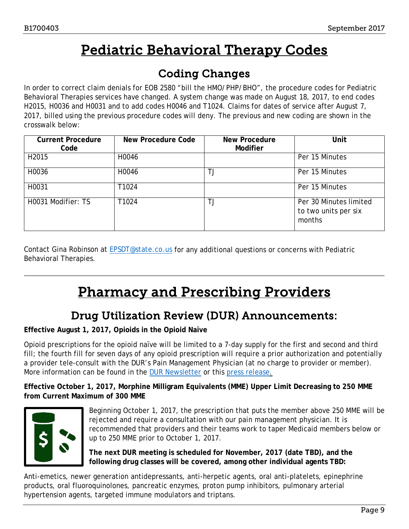## Pediatric Behavioral Therapy Codes

## Coding Changes

<span id="page-8-2"></span><span id="page-8-0"></span>In order to correct claim denials for EOB 2580 "bill the HMO/PHP/BHO", the procedure codes for Pediatric Behavioral Therapies services have changed. A system change was made on August 18, 2017, to end codes H2015, H0036 and H0031 and to add codes H0046 and T1024. Claims for dates of service after August 7, 2017, billed using the previous procedure codes will deny. The previous and new coding are shown in the crosswalk below:

| <b>Current Procedure</b><br>Code | New Procedure Code | <b>New Procedure</b><br><b>Modifier</b> | Unit                                                     |
|----------------------------------|--------------------|-----------------------------------------|----------------------------------------------------------|
| H2015                            | H0046              |                                         | Per 15 Minutes                                           |
| H0036                            | H0046              | ТJ                                      | Per 15 Minutes                                           |
| H0031                            | T1024              |                                         | Per 15 Minutes                                           |
| H0031 Modifier: TS               | T1024              | ТJ                                      | Per 30 Minutes limited<br>to two units per six<br>months |

Contact Gina Robinson at [EPSDT@state.co.us](mailto:EPSDT@state.co.us) for any additional questions or concerns with Pediatric Behavioral Therapies.

## Pharmacy and Prescribing Providers

## Drug Utilization Review (DUR) Announcements:

#### <span id="page-8-1"></span>**Effective August 1, 2017, Opioids in the Opioid Naïve**

Opioid prescriptions for the opioid naïve will be limited to a 7-day supply for the first and second and third fill; the fourth fill for seven days of any opioid prescription will require a prior authorization and potentially a provider tele-consult with the DUR's Pain Management Physician (at no charge to provider or member). More information can be found in the [DUR Newsletter](https://www.colorado.gov/pacific/sites/default/files/Drug%20Utilization%20Review%20Newsletter%20-%20Summer%202017.pdf) or this [press release.](https://www.colorado.gov/pacific/hcpf/news/colorado-medicaid-tighten-opioid-usage-policy)

**Effective October 1, 2017, Morphine Milligram Equivalents (MME) Upper Limit Decreasing to 250 MME from Current Maximum of 300 MME**



Beginning October 1, 2017, the prescription that puts the member above 250 MME will be rejected and require a consultation with our pain management physician. It is recommended that providers and their teams work to taper Medicaid members below or up to 250 MME prior to October 1, 2017.

**The next DUR meeting is scheduled for November, 2017 (date TBD), and the following drug classes will be covered, among other individual agents TBD:**

Anti-emetics, newer generation antidepressants, anti-herpetic agents, oral anti-platelets, epinephrine products, oral fluoroquinolones, pancreatic enzymes, proton pump inhibitors, pulmonary arterial hypertension agents, targeted immune modulators and triptans.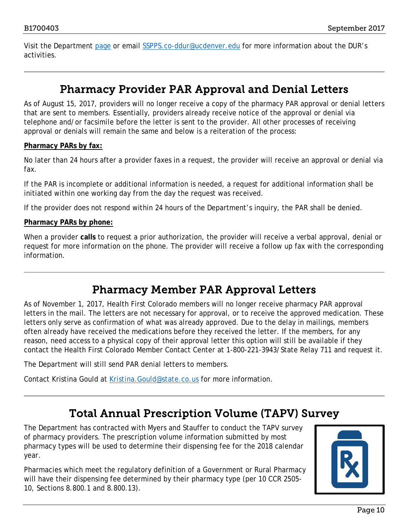Visit the Department [page](https://www.colorado.gov/pacific/hcpf/drug-utilization-review-board) or email [SSPPS.co-ddur@ucdenver.edu](mailto:SSPPS.co-dur@ucdenver.edu) for more information about the DUR's activities.

### Pharmacy Provider PAR Approval and Denial Letters

<span id="page-9-0"></span>As of August 15, 2017, providers will no longer receive a copy of the pharmacy PAR approval or denial letters that are sent to members. Essentially, providers already receive notice of the approval or denial via telephone and/or facsimile before the letter is sent to the provider. All other processes of receiving approval or denials will remain the same and below is a reiteration of the process:

#### **Pharmacy PARs by fax:**

No later than 24 hours after a provider faxes in a request, the provider will receive an approval or denial via fax.

If the PAR is incomplete or additional information is needed, a request for additional information shall be initiated within one working day from the day the request was received.

If the provider does not respond within 24 hours of the Department's inquiry, the PAR shall be denied.

#### **Pharmacy PARs by phone:**

When a provider **calls** to request a prior authorization, the provider will receive a verbal approval, denial or request for more information on the phone. The provider will receive a follow up fax with the corresponding information.

### Pharmacy Member PAR Approval Letters

<span id="page-9-1"></span>As of November 1, 2017, Health First Colorado members will no longer receive pharmacy PAR approval letters in the mail. The letters are not necessary for approval, or to receive the approved medication. These letters only serve as confirmation of what was already approved. Due to the delay in mailings, members often already have received the medications before they received the letter. If the members, for any reason, need access to a physical copy of their approval letter this option will still be available if they contact the Health First Colorado Member Contact Center at 1-800-221-3943/State Relay 711 and request it.

The Department will still send PAR denial letters to members.

Contact Kristina Gould at Kristina. Gould@state.co.us for more information.

## Total Annual Prescription Volume (TAPV) Survey

<span id="page-9-2"></span>The Department has contracted with Myers and Stauffer to conduct the TAPV survey of pharmacy providers. The prescription volume information submitted by most pharmacy types will be used to determine their dispensing fee for the 2018 calendar year.

Pharmacies which meet the regulatory definition of a Government or Rural Pharmacy will have their dispensing fee determined by their pharmacy type (per 10 CCR 2505- 10, Sections 8.800.1 and 8.800.13).

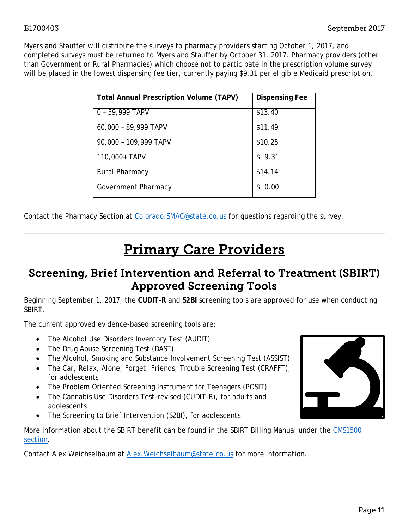Myers and Stauffer will distribute the surveys to pharmacy providers starting October 1, 2017, and completed surveys must be returned to Myers and Stauffer by October 31, 2017. Pharmacy providers (other than Government or Rural Pharmacies) which choose not to participate in the prescription volume survey will be placed in the lowest dispensing fee tier, currently paying \$9.31 per eligible Medicaid prescription.

| Total Annual Prescription Volume (TAPV) | <b>Dispensing Fee</b> |
|-----------------------------------------|-----------------------|
| 0 - 59,999 TAPV                         | \$13.40               |
| 60,000 - 89,999 TAPV                    | \$11.49               |
| 90,000 - 109,999 TAPV                   | \$10.25               |
| 110,000+ TAPV                           | \$9.31                |
| <b>Rural Pharmacy</b>                   | \$14.14               |
| Government Pharmacy                     | \$0.00                |

Contact the Pharmacy Section at Colorado. SMAC@state.co.us for questions regarding the survey.

## Primary Care Providers

### <span id="page-10-1"></span><span id="page-10-0"></span>Screening, Brief Intervention and Referral to Treatment (SBIRT) Approved Screening Tools

Beginning September 1, 2017, the **CUDIT-R** and **S2BI** screening tools are approved for use when conducting SBIRT.

The current approved evidence-based screening tools are:

- The Alcohol Use Disorders Inventory Test (AUDIT)
- The Drug Abuse Screening Test (DAST)
- The Alcohol, Smoking and Substance Involvement Screening Test (ASSIST)
- The Car, Relax, Alone, Forget, Friends, Trouble Screening Test (CRAFFT), for adolescents
- The Problem Oriented Screening Instrument for Teenagers (POSIT)
- The Cannabis Use Disorders Test-revised (CUDIT-R), for adults and adolescents
- The Screening to Brief Intervention (S2BI), for adolescents

More information about the SBIRT benefit can be found in the SBIRT Billing Manual under the [CMS1500](https://www.colorado.gov/pacific/hcpf/billing-manuals)  [section.](https://www.colorado.gov/pacific/hcpf/billing-manuals)

Contact Alex Weichselbaum at [Alex.Weichselbaum@state.co.us](mailto:Alex.Weichselbaum@state.co.us) for more information.